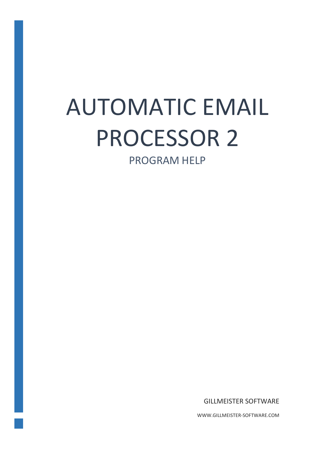# AUTOMATIC EMAIL PROCESSOR 2

PROGRAM HELP

GILLMEISTER SOFTWARE

WWW.GILLMEISTER-SOFTWARE.COM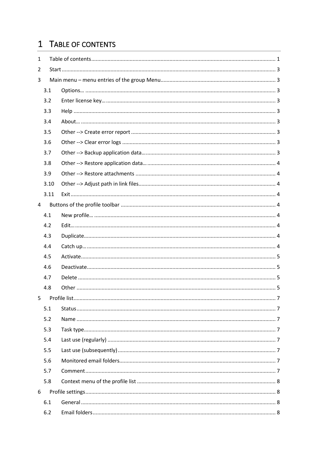# <span id="page-1-0"></span>1 TABLE OF CONTENTS

| $\mathbf{1}$ |      |  |
|--------------|------|--|
| 2            |      |  |
| 3            |      |  |
|              | 3.1  |  |
|              | 3.2  |  |
|              | 3.3  |  |
|              | 3.4  |  |
|              | 3.5  |  |
|              | 3.6  |  |
|              | 3.7  |  |
|              | 3.8  |  |
|              | 3.9  |  |
|              | 3.10 |  |
|              | 3.11 |  |
| 4            |      |  |
|              | 4.1  |  |
|              | 4.2  |  |
|              | 4.3  |  |
|              | 4.4  |  |
|              | 4.5  |  |
|              | 4.6  |  |
|              | 4.7  |  |
|              | 4.8  |  |
| 5            |      |  |
|              | 5.1  |  |
|              | 5.2  |  |
|              | 5.3  |  |
|              | 5.4  |  |
|              | 5.5  |  |
|              | 5.6  |  |
|              | 5.7  |  |
|              | 5.8  |  |
| 6            |      |  |
|              | 6.1  |  |
|              | 6.2  |  |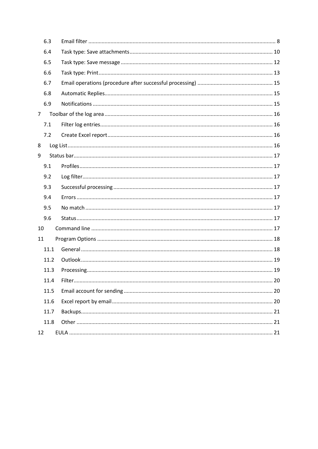| 6.3            |  |
|----------------|--|
| 6.4            |  |
| 6.5            |  |
| 6.6            |  |
| 6.7            |  |
| 6.8            |  |
| 6.9            |  |
| 7 <sup>1</sup> |  |
| 7.1            |  |
| 7.2            |  |
| 8              |  |
| 9              |  |
| 9.1            |  |
| 9.2            |  |
| 9.3            |  |
| 9.4            |  |
| 9.5            |  |
| 9.6            |  |
| 10             |  |
| 11             |  |
| 11.1           |  |
| 11.2           |  |
| 11.3           |  |
| 11.4           |  |
| 11.5           |  |
| 11.6           |  |
| 11.7           |  |
| 11.8           |  |
| 12             |  |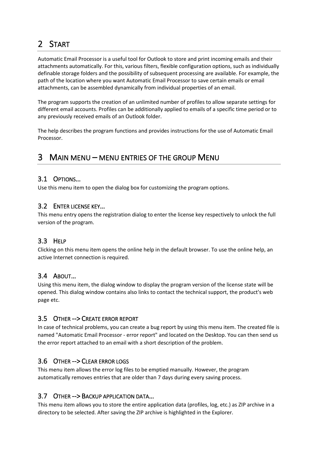# <span id="page-3-0"></span>2 START

Automatic Email Processor is a useful tool for Outlook to store and print incoming emails and their attachments automatically. For this, various filters, flexible configuration options, such as individually definable storage folders and the possibility of subsequent processing are available. For example, the path of the location where you want Automatic Email Processor to save certain emails or email attachments, can be assembled dynamically from individual properties of an email.

The program supports the creation of an unlimited number of profiles to allow separate settings for different email accounts. Profiles can be additionally applied to emails of a specific time period or to any previously received emails of an Outlook folder.

The help describes the program functions and provides instructions for the use of Automatic Email Processor.

# <span id="page-3-1"></span>3 MAIN MENU – MENU ENTRIES OF THE GROUP MENU

# <span id="page-3-2"></span>3.1 OPTIONS…

Use this menu item to open the dialog box for customizing the program options.

# <span id="page-3-3"></span>3.2 ENTER LICENSE KEY…

This menu entry opens the registration dialog to enter the license key respectively to unlock the full version of the program.

# <span id="page-3-4"></span>3.3 HELP

Clicking on this menu item opens the online help in the default browser. To use the online help, an active Internet connection is required.

# <span id="page-3-5"></span>3.4 ABOUT…

Using this menu item, the dialog window to display the program version of the license state will be opened. This dialog window contains also links to contact the technical support, the product's web page etc.

# <span id="page-3-6"></span>3.5 OTHER --> CREATE ERROR REPORT

In case of technical problems, you can create a bug report by using this menu item. The created file is named "Automatic Email Processor - error report" and located on the Desktop. You can then send us the error report attached to an email with a short description of the problem.

# <span id="page-3-7"></span>3.6 OTHER --> CLEAR ERROR LOGS

This menu item allows the error log files to be emptied manually. However, the program automatically removes entries that are older than 7 days during every saving process.

# <span id="page-3-8"></span>3.7 OTHER --> BACKUP APPLICATION DATA…

This menu item allows you to store the entire application data (profiles, log, etc.) as ZIP archive in a directory to be selected. After saving the ZIP archive is highlighted in the Explorer.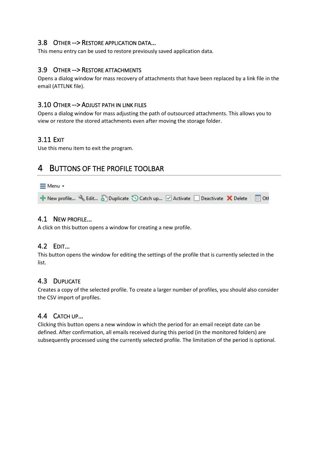# <span id="page-4-0"></span>3.8 OTHER --> RESTORE APPLICATION DATA…

This menu entry can be used to restore previously saved application data.

## <span id="page-4-1"></span>3.9 OTHER --> RESTORE ATTACHMENTS

Opens a dialog window for mass recovery of attachments that have been replaced by a link file in the email (ATTLNK file).

#### <span id="page-4-2"></span>3.10 OTHER --> ADJUST PATH IN LINK FILES

Opens a dialog window for mass adjusting the path of outsourced attachments. This allows you to view or restore the stored attachments even after moving the storage folder.

# <span id="page-4-3"></span>3.11 EXIT

Use this menu item to exit the program.

# <span id="page-4-4"></span>4 BUTTONS OF THE PROFILE TOOLBAR

# $\equiv$  Menu  $\sim$ + New profile... Sedit... Sell Duplicate <a>
O<br <a>
Catch up... <a>
O<br </a>
Activate <a>
O<br </a>
Deactivate </a>
X</a>
Delete </a>
I Delete </a>
I Delete </a>
I Delete </a>
I Delete </a>
I Delete </a>
I Delete </a>

# <span id="page-4-5"></span>4.1 NEW PROFILE…

A click on this button opens a window for creating a new profile.

# <span id="page-4-6"></span>4.2 EDIT…

This button opens the window for editing the settings of the profile that is currently selected in the list.

# <span id="page-4-7"></span>4.3 DUPLICATE

Creates a copy of the selected profile. To create a larger number of profiles, you should also consider the CSV import of profiles.

#### <span id="page-4-8"></span>4.4 CATCH UP…

Clicking this button opens a new window in which the period for an email receipt date can be defined. After confirmation, all emails received during this period (in the monitored folders) are subsequently processed using the currently selected profile. The limitation of the period is optional.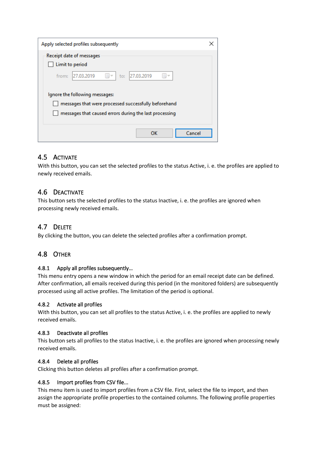| Apply selected profiles subsequently                           |  |
|----------------------------------------------------------------|--|
| Receipt date of messages<br>Limit to period                    |  |
| 27.03.2019<br>27.03.2019<br>from:<br>$\mathbb{R}$<br>to:<br>国マ |  |
| Ignore the following messages:                                 |  |
| messages that were processed successfully beforehand           |  |
| messages that caused errors during the last processing         |  |
| OK<br>Cancel                                                   |  |

# <span id="page-5-0"></span>4.5 ACTIVATE

With this button, you can set the selected profiles to the status Active, i. e. the profiles are applied to newly received emails.

# <span id="page-5-1"></span>4.6 DEACTIVATE

This button sets the selected profiles to the status Inactive, i. e. the profiles are ignored when processing newly received emails.

# <span id="page-5-2"></span>4.7 DELETE

By clicking the button, you can delete the selected profiles after a confirmation prompt.

# <span id="page-5-3"></span>4.8 OTHER

#### 4.8.1 Apply all profiles subsequently…

This menu entry opens a new window in which the period for an email receipt date can be defined. After confirmation, all emails received during this period (in the monitored folders) are subsequently processed using all active profiles. The limitation of the period is optional.

#### 4.8.2 Activate all profiles

With this button, you can set all profiles to the status Active, i. e. the profiles are applied to newly received emails.

#### 4.8.3 Deactivate all profiles

This button sets all profiles to the status Inactive, i. e. the profiles are ignored when processing newly received emails.

#### 4.8.4 Delete all profiles

Clicking this button deletes all profiles after a confirmation prompt.

#### 4.8.5 Import profiles from CSV file...

This menu item is used to import profiles from a CSV file. First, select the file to import, and then assign the appropriate profile properties to the contained columns. The following profile properties must be assigned: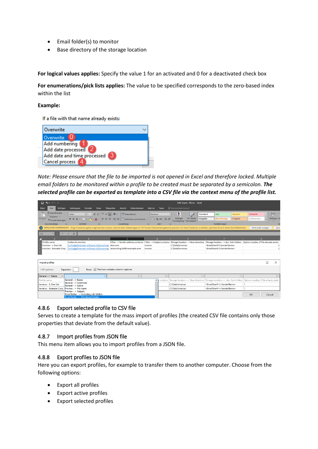- Email folder(s) to monitor
- Base directory of the storage location

**For logical values applies:** Specify the value 1 for an activated and 0 for a deactivated check box

**For enumerations/pick lists applies:** The value to be specified corresponds to the zero-based index within the list

#### **Example:**

If a file with that name already exists:



*Note: Please ensure that the file to be imported is not opened in Excel and therefore locked. Multiple email folders to be monitored within a profile to be created must be separated by a semicolon. The selected profile can be exported as template into a CSV file via the context menu of the profile list.*

| ∍ . ⊳ . 9 ⊞                                                                                |                                                                                                                                                                                                                                |                                                                                        |                                 | OAE-Import - EN.csv - Excel                                                                           |                                                                               |                                             |
|--------------------------------------------------------------------------------------------|--------------------------------------------------------------------------------------------------------------------------------------------------------------------------------------------------------------------------------|----------------------------------------------------------------------------------------|---------------------------------|-------------------------------------------------------------------------------------------------------|-------------------------------------------------------------------------------|---------------------------------------------|
| Einfügen<br>Start<br>Datei                                                                 | Seitenlavout<br>Formeln<br>Daten                                                                                                                                                                                               | Entwicklertools<br>Überprüfen<br>Ansicht                                               | Add-Ins<br>Team                 | V Was möchten Sie tun?                                                                                |                                                                               |                                             |
| $\frac{1}{2}$<br>A Ausschneiden<br><b>EP Kopieren</b> *<br>Einfügen<br>* Format übertragen | $-11 - A A$<br>Calibri<br>$\equiv \equiv$<br>$\equiv \equiv \equiv$<br>F K U                                                                                                                                                   | Textumbruch<br>$87 -$<br>$\frac{1}{2}$ = $\frac{1}{2}$ Verbinden und zentrieren $\sim$ | Standard<br>图 - 96 000 名 88     | Þ,<br>Standard<br>Als Tabelle<br>Bedingte<br>Ausgabe<br>Formatierung * formatieren                    | Gut<br>Neutral<br>Berechnung<br>Eingabe                                       | 霜<br>Schlecht<br>Einfügen Lö<br>Erklärender |
| Zwischenablage<br>$\sqrt{2}$                                                               | Schriftart<br>反                                                                                                                                                                                                                | Ausrichtung                                                                            | Zahl<br><b>IV</b><br>$\sqrt{2}$ |                                                                                                       | Formatyorlagen                                                                |                                             |
|                                                                                            | MÖGLICHER DATENVERLUST Einige Funktionen gehen möglicherweise verloren, wenn Sie diese Arbeitsmappe im CSV-Format (Trennzeichen getrennt) speichern. Um diese Funktionen zu erhalten, speichern Sie sie in einem Excel-Dateifo |                                                                                        |                                 |                                                                                                       |                                                                               | Speic<br>Nicht mehr anzeigen                |
| <b>v</b> 1<br>C12<br>$\times$                                                              | fx                                                                                                                                                                                                                             |                                                                                        |                                 |                                                                                                       |                                                                               |                                             |
|                                                                                            | $\mathbf{D}$                                                                                                                                                                                                                   | c                                                                                      | D.                              |                                                                                                       |                                                                               | G                                           |
| Profile name                                                                               | <b>Folders to monitor</b>                                                                                                                                                                                                      |                                                                                        |                                 | Filter -- > Sender address contains Filter -- > Subject contains Storage location -- > Base directory |                                                                               |                                             |
| Invoices - J. Doe Ltd.                                                                     | \\info@gillmeister-software.de\Incoming                                                                                                                                                                                        | doe.com                                                                                | invoice                         | C:\Data\Invoices                                                                                      | <emailyear4>\<sendername></sendername></emailyear4>                           |                                             |
| Invoices - Example Corp.                                                                   | \\info@gillmeister-software.de\Incoming                                                                                                                                                                                        | accounting <and>example.com</and>                                                      | invoice                         | C:\Data\Invoices                                                                                      | <emailyear4>\<sendername></sendername></emailyear4>                           |                                             |
|                                                                                            |                                                                                                                                                                                                                                |                                                                                        |                                 |                                                                                                       |                                                                               |                                             |
|                                                                                            |                                                                                                                                                                                                                                |                                                                                        |                                 |                                                                                                       |                                                                               |                                             |
| Import profiles                                                                            |                                                                                                                                                                                                                                |                                                                                        |                                 |                                                                                                       |                                                                               | $\Box$<br>$\times$                          |
| <b>CSV</b> options:<br>Separator:                                                          | Rows: $\boxdot$ First row contains column captions                                                                                                                                                                             |                                                                                        |                                 |                                                                                                       |                                                                               |                                             |
| General --> Name<br>$\checkmark$                                                           | $\sim$                                                                                                                                                                                                                         | $\checkmark$                                                                           | $\vee$                          | $\sim$                                                                                                | $\checkmark$                                                                  |                                             |
| Profile name                                                                               | General --> Name                                                                                                                                                                                                               |                                                                                        | $\wedge$<br>t contains          | Storage location --> Base directory                                                                   | Storage location --> dyn. Sub-folders   Option number, if file already exists |                                             |
| Invoices - J. Doe Ltd.                                                                     | General --> Comment<br>General --> Active                                                                                                                                                                                      |                                                                                        |                                 | <b>C:\Data\Invoices</b>                                                                               | <emailyear4>\<sendername></sendername></emailyear4>                           |                                             |
| Invoices - Example Corp.                                                                   | Preview --> File name                                                                                                                                                                                                          |                                                                                        |                                 | C:\Data\Invoices                                                                                      | <emailyear4>\<sendername></sendername></emailyear4>                           |                                             |
|                                                                                            | Preview --> Subject                                                                                                                                                                                                            |                                                                                        |                                 |                                                                                                       |                                                                               |                                             |
|                                                                                            | Email folder --> Including sub-folders<br>Email folder --> Monitored folders                                                                                                                                                   |                                                                                        |                                 |                                                                                                       |                                                                               | OK<br>Cancel                                |
|                                                                                            |                                                                                                                                                                                                                                |                                                                                        |                                 |                                                                                                       |                                                                               |                                             |

#### 4.8.6 Export selected profile to CSV file

Serves to create a template for the mass import of profiles (the created CSV file contains only those properties that deviate from the default value).

#### 4.8.7 Import profiles from JSON file

This menu item allows you to import profiles from a JSON file.

#### 4.8.8 Export profiles to JSON file

Here you can export profiles, for example to transfer them to another computer. Choose from the following options:

- Export all profiles
- Export active profiles
- Export selected profiles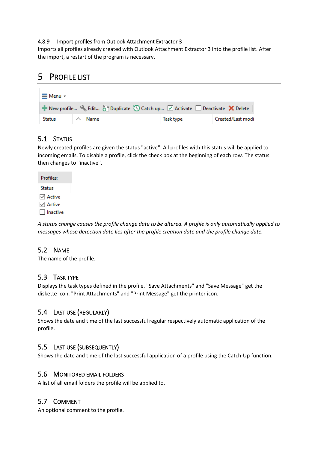#### 4.8.9 Import profiles from Outlook Attachment Extractor 3

Imports all profiles already created with Outlook Attachment Extractor 3 into the profile list. After the import, a restart of the program is necessary.

# <span id="page-7-0"></span>5 PROFILE LIST

| $\equiv$ Menu $\sim$ |        |                                                                                                     |                   |
|----------------------|--------|-----------------------------------------------------------------------------------------------------|-------------------|
|                      |        | <b>Example 1</b> New profile Selit Selit Duplicate Superior Catch up Ø Activate Deactivate X Delete |                   |
| Status               | . Name | Task type                                                                                           | Created/Last modi |

# <span id="page-7-1"></span>5.1 STATUS

Newly created profiles are given the status "active". All profiles with this status will be applied to incoming emails. To disable a profile, click the check box at the beginning of each row. The status then changes to "inactive".

| Profiles:     |  |
|---------------|--|
| <b>Status</b> |  |
| l∕ Active     |  |
| $\vee$ Active |  |
| l Inactive    |  |

*A status change causes the profile change date to be altered. A profile is only automatically applied to messages whose detection date lies after the profile creation date and the profile change date.*

# <span id="page-7-2"></span>5.2 NAME

The name of the profile.

# <span id="page-7-3"></span>5.3 TASK TYPE

Displays the task types defined in the profile. "Save Attachments" and "Save Message" get the diskette icon, "Print Attachments" and "Print Message" get the printer icon.

# <span id="page-7-4"></span>5.4 LAST USE (REGULARLY)

Shows the date and time of the last successful regular respectively automatic application of the profile.

# <span id="page-7-5"></span>5.5 LAST USE (SUBSEQUENTLY)

Shows the date and time of the last successful application of a profile using the Catch-Up function.

#### <span id="page-7-6"></span>5.6 MONITORED EMAIL FOLDERS

A list of all email folders the profile will be applied to.

# <span id="page-7-7"></span>5.7 COMMENT

An optional comment to the profile.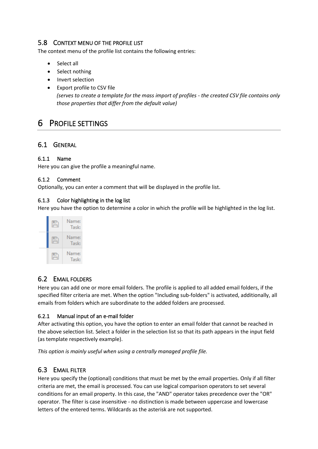# <span id="page-8-0"></span>5.8 CONTEXT MENU OF THE PROFILE LIST

The context menu of the profile list contains the following entries:

- Select all
- Select nothing
- Invert selection
- Export profile to CSV file *(serves to create a template for the mass import of profiles - the created CSV file contains only those properties that differ from the default value)*

# <span id="page-8-1"></span>6 PROFILE SETTINGS

# <span id="page-8-2"></span>6.1 GENERAL

#### 6.1.1 Name

Here you can give the profile a meaningful name.

#### 6.1.2 Comment

Optionally, you can enter a comment that will be displayed in the profile list.

#### 6.1.3 Color highlighting in the log list

Here you have the option to determine a color in which the profile will be highlighted in the log list.



# <span id="page-8-3"></span>6.2 EMAIL FOLDERS

Here you can add one or more email folders. The profile is applied to all added email folders, if the specified filter criteria are met. When the option "Including sub-folders" is activated, additionally, all emails from folders which are subordinate to the added folders are processed.

#### 6.2.1 Manual input of an e-mail folder

After activating this option, you have the option to enter an email folder that cannot be reached in the above selection list. Select a folder in the selection list so that its path appears in the input field (as template respectively example).

*This option is mainly useful when using a centrally managed profile file.*

# <span id="page-8-4"></span>6.3 EMAIL FILTER

Here you specify the (optional) conditions that must be met by the email properties. Only if all filter criteria are met, the email is processed. You can use logical comparison operators to set several conditions for an email property. In this case, the "AND" operator takes precedence over the "OR" operator. The filter is case insensitive - no distinction is made between uppercase and lowercase letters of the entered terms. Wildcards as the asterisk are not supported.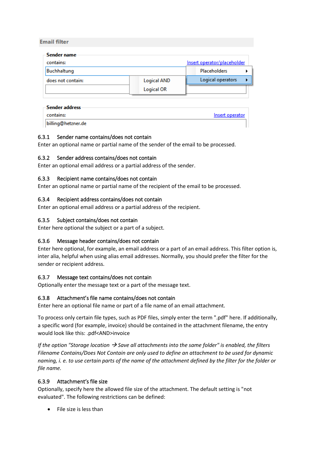#### **Email filter**

| Sender name       |                   |                             |
|-------------------|-------------------|-----------------------------|
| contains:         |                   | Insert operator/placeholder |
| Buchhaltung       |                   | Placeholders                |
| does not contain: | Logical AND       | Logical operators           |
|                   | <b>Logical OR</b> |                             |
|                   |                   |                             |

| -Sender address-   |                 |
|--------------------|-----------------|
| contains:          | Insert operator |
| billing@hetzner.de |                 |

#### 6.3.1 Sender name contains/does not contain

Enter an optional name or partial name of the sender of the email to be processed.

#### 6.3.2 Sender address contains/does not contain

Enter an optional email address or a partial address of the sender.

#### 6.3.3 Recipient name contains/does not contain

Enter an optional name or partial name of the recipient of the email to be processed.

#### 6.3.4 Recipient address contains/does not contain

Enter an optional email address or a partial address of the recipient.

#### 6.3.5 Subject contains/does not contain

Enter here optional the subject or a part of a subject.

#### 6.3.6 Message header contains/does not contain

Enter here optional, for example, an email address or a part of an email address. This filter option is, inter alia, helpful when using alias email addresses. Normally, you should prefer the filter for the sender or recipient address.

#### 6.3.7 Message text contains/does not contain

Optionally enter the message text or a part of the message text.

#### 6.3.8 Attachment's file name contains/does not contain

Enter here an optional file name or part of a file name of an email attachment.

To process only certain file types, such as PDF files, simply enter the term ".pdf" here. If additionally, a specific word (for example, invoice) should be contained in the attachment filename, the entry would look like this: .pdf<AND>invoice

*If the option "Storage location → Save all attachments into the same folder" is enabled, the filters Filename Contains/Does Not Contain are only used to define an attachment to be used for dynamic naming, i. e. to use certain parts of the name of the attachment defined by the filter for the folder or file name.*

#### 6.3.9 Attachment's file size

Optionally, specify here the allowed file size of the attachment. The default setting is "not evaluated". The following restrictions can be defined:

• File size is less than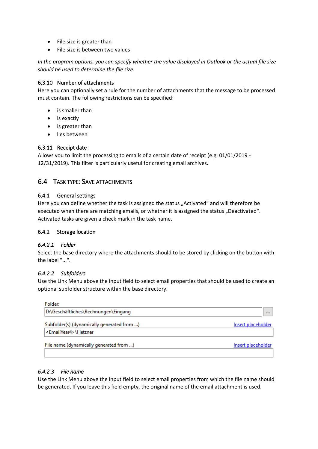- File size is greater than
- File size is between two values

*In the program options, you can specify whether the value displayed in Outlook or the actual file size should be used to determine the file size.*

#### 6.3.10 Number of attachments

Here you can optionally set a rule for the number of attachments that the message to be processed must contain. The following restrictions can be specified:

- is smaller than
- is exactly
- is greater than
- lies between

#### 6.3.11 Receipt date

Allows you to limit the processing to emails of a certain date of receipt (e.g. 01/01/2019 - 12/31/2019). This filter is particularly useful for creating email archives.

# <span id="page-10-0"></span>6.4 TASK TYPE: SAVE ATTACHMENTS

#### 6.4.1 General settings

Here you can define whether the task is assigned the status "Activated" and will therefore be executed when there are matching emails, or whether it is assigned the status "Deactivated". Activated tasks are given a check mark in the task name.

#### 6.4.2 Storage location

#### *6.4.2.1 Folder*

Select the base directory where the attachments should to be stored by clicking on the button with the label "...".

#### *6.4.2.2 Subfolders*

Use the Link Menu above the input field to select email properties that should be used to create an optional subfolder structure within the base directory.

| Folder:                                                                           |                    |
|-----------------------------------------------------------------------------------|--------------------|
| D:\Geschäftliches\Rechnungen\Eingang                                              | $\cdots$           |
| Subfolder(s) (dynamically generated from )<br>  <emailyear4>\Hetzner</emailyear4> | Insert placeholder |
| File name (dynamically generated from )                                           | Insert placeholder |

#### *6.4.2.3 File name*

Use the Link Menu above the input field to select email properties from which the file name should be generated. If you leave this field empty, the original name of the email attachment is used.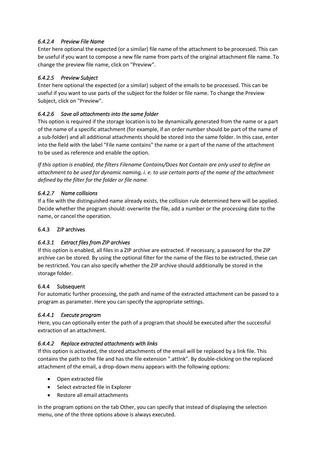# *6.4.2.4 Preview File Name*

Enter here optional the expected (or a similar) file name of the attachment to be processed. This can be useful if you want to compose a new file name from parts of the original attachment file name. To change the preview file name, click on "Preview".

# *6.4.2.5 Preview Subject*

Enter here optional the expected (or a similar) subject of the emails to be processed. This can be useful if you want to use parts of the subject for the folder or file name. To change the Preview Subject, click on "Preview".

## *6.4.2.6 Save all attachments into the same folder*

This option is required if the storage location is to be dynamically generated from the name or a part of the name of a specific attachment (for example, if an order number should be part of the name of a sub-folder) and all additional attachments should be stored into the same folder. In this case, enter into the field with the label "File name contains" the name or a part of the name of the attachment to be used as reference and enable the option.

*If this option is enabled, the filters Filename Contains/Does Not Contain are only used to define an attachment to be used for dynamic naming, i. e. to use certain parts of the name of the attachment defined by the filter for the folder or file name.*

#### *6.4.2.7 Name collisions*

If a file with the distinguished name already exists, the collision rule determined here will be applied. Decide whether the program should: overwrite the file, add a number or the processing date to the name, or cancel the operation.

#### 6.4.3 ZIP archives

#### *6.4.3.1 Extract files from ZIP archives*

If this option is enabled, all files in a ZIP archive are extracted. If necessary, a password for the ZIP archive can be stored. By using the optional filter for the name of the files to be extracted, these can be restricted. You can also specify whether the ZIP archive should additionally be stored in the storage folder.

#### 6.4.4 Subsequent

For automatic further processing, the path and name of the extracted attachment can be passed to a program as parameter. Here you can specify the appropriate settings.

#### *6.4.4.1 Execute program*

Here, you can optionally enter the path of a program that should be executed after the successful extraction of an attachment.

#### *6.4.4.2 Replace extracted attachments with links*

If this option is activated, the stored attachments of the email will be replaced by a link file. This contains the path to the file and has the file extension ".attlnk". By double-clicking on the replaced attachment of the email, a drop-down menu appears with the following options:

- Open extracted file
- Select extracted file in Explorer
- Restore all email attachments

In the program options on the tab Other, you can specify that instead of displaying the selection menu, one of the three options above is always executed.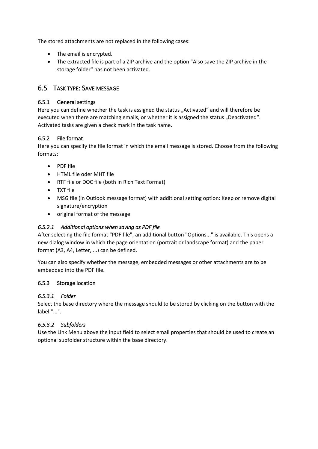The stored attachments are not replaced in the following cases:

- The email is encrypted.
- The extracted file is part of a ZIP archive and the option "Also save the ZIP archive in the storage folder" has not been activated.

# <span id="page-12-0"></span>6.5 TASK TYPE: SAVE MESSAGE

#### 6.5.1 General settings

Here you can define whether the task is assigned the status "Activated" and will therefore be executed when there are matching emails, or whether it is assigned the status "Deactivated". Activated tasks are given a check mark in the task name.

#### 6.5.2 File format

Here you can specify the file format in which the email message is stored. Choose from the following formats:

- PDF file
- HTML file oder MHT file
- RTF file or DOC file (both in Rich Text Format)
- TXT file
- MSG file (in Outlook message format) with additional setting option: Keep or remove digital signature/encryption
- original format of the message

#### *6.5.2.1 Additional options when saving as PDF file*

After selecting the file format "PDF file", an additional button "Options..." is available. This opens a new dialog window in which the page orientation (portrait or landscape format) and the paper format (A3, A4, Letter, ...) can be defined.

You can also specify whether the message, embedded messages or other attachments are to be embedded into the PDF file.

#### 6.5.3 Storage location

#### *6.5.3.1 Folder*

Select the base directory where the message should to be stored by clicking on the button with the label "...".

#### *6.5.3.2 Subfolders*

Use the Link Menu above the input field to select email properties that should be used to create an optional subfolder structure within the base directory.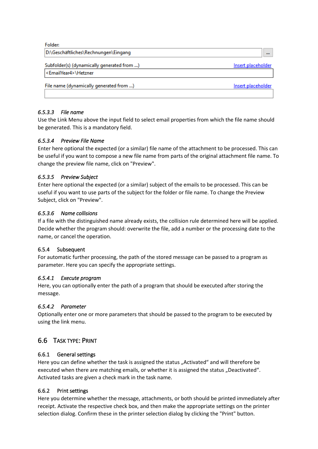| Folder:                                    |                    |
|--------------------------------------------|--------------------|
| D:\Geschäftliches\Rechnungen\Eingang       | $\cdots$           |
| Subfolder(s) (dynamically generated from ) | Insert placeholder |
| <emailyear4>\Hetzner</emailyear4>          |                    |
| File name (dynamically generated from )    | Insert placeholder |
|                                            |                    |
|                                            |                    |

#### *6.5.3.3 File name*

Use the Link Menu above the input field to select email properties from which the file name should be generated. This is a mandatory field.

#### *6.5.3.4 Preview File Name*

Enter here optional the expected (or a similar) file name of the attachment to be processed. This can be useful if you want to compose a new file name from parts of the original attachment file name. To change the preview file name, click on "Preview".

#### *6.5.3.5 Preview Subject*

Enter here optional the expected (or a similar) subject of the emails to be processed. This can be useful if you want to use parts of the subject for the folder or file name. To change the Preview Subject, click on "Preview".

#### *6.5.3.6 Name collisions*

If a file with the distinguished name already exists, the collision rule determined here will be applied. Decide whether the program should: overwrite the file, add a number or the processing date to the name, or cancel the operation.

#### 6.5.4 Subsequent

For automatic further processing, the path of the stored message can be passed to a program as parameter. Here you can specify the appropriate settings.

#### *6.5.4.1 Execute program*

Here, you can optionally enter the path of a program that should be executed after storing the message.

#### *6.5.4.2 Parameter*

Optionally enter one or more parameters that should be passed to the program to be executed by using the link menu.

# <span id="page-13-0"></span>6.6 TASK TYPE: PRINT

#### 6.6.1 General settings

Here you can define whether the task is assigned the status "Activated" and will therefore be executed when there are matching emails, or whether it is assigned the status "Deactivated". Activated tasks are given a check mark in the task name.

#### 6.6.2 Print settings

Here you determine whether the message, attachments, or both should be printed immediately after receipt. Activate the respective check box, and then make the appropriate settings on the printer selection dialog. Confirm these in the printer selection dialog by clicking the "Print" button.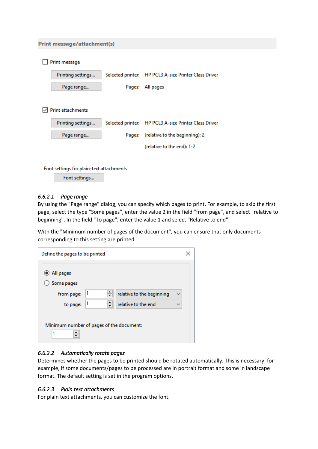#### **Print message/attachment(s)**

| Print message            |        |                                                       |
|--------------------------|--------|-------------------------------------------------------|
| Printing settings        |        | Selected printer: HP PCL3 A-size Printer Class Driver |
| Page range               | Pages: | All pages                                             |
|                          |        |                                                       |
| <b>Print attachments</b> |        |                                                       |
| Printing settings        |        | Selected printer: HP PCL3 A-size Printer Class Driver |
| Page range               | Pages: | (relative to the beginning): 2                        |
|                          |        | (relative to the end): 1-2                            |
|                          |        |                                                       |

Font settings for plain-text attachments

Font settings...

#### *6.6.2.1 Page range*

By using the "Page range" dialog, you can specify which pages to print. For example, to skip the first page, select the type "Some pages", enter the value 2 in the field "from page", and select "relative to beginning". In the field "To page", enter the value 1 and select "Relative to end".

With the "Minimum number of pages of the document", you can ensure that only documents corresponding to this setting are printed.

| <b>◎</b> All pages |                           |              |
|--------------------|---------------------------|--------------|
| Some pages         |                           |              |
| from page:         | relative to the beginning | $\checkmark$ |
| to page:           | relative to the end       |              |

#### *6.6.2.2 Automatically rotate pages*

Determines whether the pages to be printed should be rotated automatically. This is necessary, for example, if some documents/pages to be processed are in portrait format and some in landscape format. The default setting is set in the program options.

#### *6.6.2.3 Plain text attachments*

For plain text attachments, you can customize the font.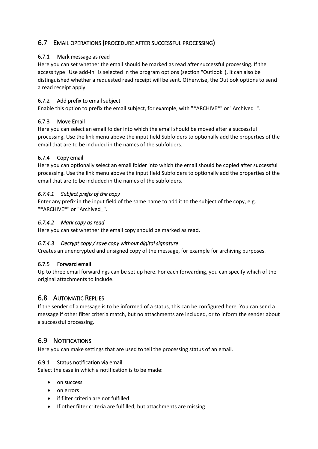# <span id="page-15-0"></span>6.7 EMAIL OPERATIONS (PROCEDURE AFTER SUCCESSFUL PROCESSING)

## 6.7.1 Mark message as read

Here you can set whether the email should be marked as read after successful processing. If the access type "Use add-in" is selected in the program options (section "Outlook"), it can also be distinguished whether a requested read receipt will be sent. Otherwise, the Outlook options to send a read receipt apply.

# 6.7.2 Add prefix to email subject

Enable this option to prefix the email subject, for example, with "\*ARCHIVE\*" or "Archived\_".

# 6.7.3 Move Email

Here you can select an email folder into which the email should be moved after a successful processing. Use the link menu above the input field Subfolders to optionally add the properties of the email that are to be included in the names of the subfolders.

# 6.7.4 Copy email

Here you can optionally select an email folder into which the email should be copied after successful processing. Use the link menu above the input field Subfolders to optionally add the properties of the email that are to be included in the names of the subfolders.

# *6.7.4.1 Subject prefix of the copy*

Enter any prefix in the input field of the same name to add it to the subject of the copy, e.g. "\*ARCHIVE\*" or "Archived\_".

# *6.7.4.2 Mark copy as read*

Here you can set whether the email copy should be marked as read.

#### *6.7.4.3 Decrypt copy / save copy without digital signature*

Creates an unencrypted and unsigned copy of the message, for example for archiving purposes.

#### 6.7.5 Forward email

Up to three email forwardings can be set up here. For each forwarding, you can specify which of the original attachments to include.

# <span id="page-15-1"></span>6.8 AUTOMATIC REPLIES

If the sender of a message is to be informed of a status, this can be configured here. You can send a message if other filter criteria match, but no attachments are included, or to inform the sender about a successful processing.

# <span id="page-15-2"></span>6.9 NOTIFICATIONS

Here you can make settings that are used to tell the processing status of an email.

#### 6.9.1 Status notification via email

Select the case in which a notification is to be made:

- on success
- on errors
- if filter criteria are not fulfilled
- If other filter criteria are fulfilled, but attachments are missing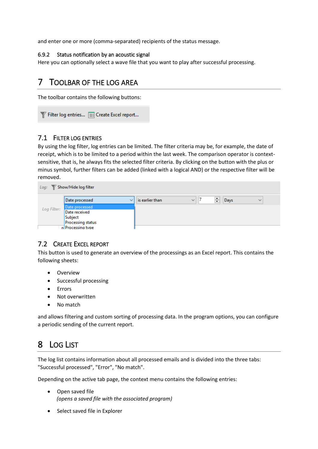and enter one or more (comma-separated) recipients of the status message.

#### 6.9.2 Status notification by an acoustic signal

Here you can optionally select a wave file that you want to play after successful processing.

# <span id="page-16-0"></span>7 TOOLBAR OF THE LOG AREA

The toolbar contains the following buttons:

Filter log entries... | Create Excel report...

#### <span id="page-16-1"></span>7.1 FILTER LOG ENTRIES

By using the log filter, log entries can be limited. The filter criteria may be, for example, the date of receipt, which is to be limited to a period within the last week. The comparison operator is contextsensitive, that is, he always fits the selected filter criteria. By clicking on the button with the plus or minus symbol, further filters can be added (linked with a logical AND) or the respective filter will be removed.

| Show/Hide log filter<br>Log: |                          |                 |              |   |                      |  |
|------------------------------|--------------------------|-----------------|--------------|---|----------------------|--|
|                              | Date processed           | is earlier than | $\checkmark$ | ÷ | Days<br>$\checkmark$ |  |
| Log Filter:                  | Date processed           |                 |              |   |                      |  |
|                              | Date received            |                 |              |   |                      |  |
|                              | Subject                  |                 |              |   |                      |  |
|                              | <b>Processing status</b> |                 |              |   |                      |  |
|                              | <b>p</b> Processing type |                 |              |   |                      |  |

# <span id="page-16-2"></span>7.2 CREATE EXCEL REPORT

This button is used to generate an overview of the processings as an Excel report. This contains the following sheets:

- Overview
- Successful processing
- Errors
- Not overwritten
- No match

and allows filtering and custom sorting of processing data. In the program options, you can configure a periodic sending of the current report.

# <span id="page-16-3"></span>8 LOG LIST

The log list contains information about all processed emails and is divided into the three tabs: "Successful processed", "Error", "No match".

Depending on the active tab page, the context menu contains the following entries:

- Open saved file *(opens a saved file with the associated program)*
- Select saved file in Explorer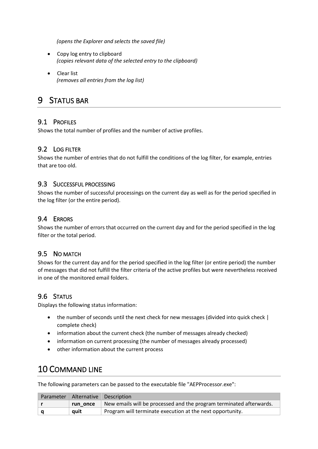*(opens the Explorer and selects the saved file)*

- Copy log entry to clipboard *(copies relevant data of the selected entry to the clipboard)*
- Clear list *(removes all entries from the log list)*

# <span id="page-17-0"></span>9 STATUS BAR

# <span id="page-17-1"></span>9.1 PROFILES

Shows the total number of profiles and the number of active profiles.

# <span id="page-17-2"></span>9.2 LOG FILTER

Shows the number of entries that do not fulfill the conditions of the log filter, for example, entries that are too old.

#### <span id="page-17-3"></span>9.3 SUCCESSFUL PROCESSING

Shows the number of successful processings on the current day as well as for the period specified in the log filter (or the entire period).

# <span id="page-17-4"></span>9.4 ERRORS

Shows the number of errors that occurred on the current day and for the period specified in the log filter or the total period.

# <span id="page-17-5"></span>9.5 NO MATCH

Shows for the current day and for the period specified in the log filter (or entire period) the number of messages that did not fulfill the filter criteria of the active profiles but were nevertheless received in one of the monitored email folders.

# <span id="page-17-6"></span>9.6 STATUS

Displays the following status information:

- the number of seconds until the next check for new messages (divided into quick check | complete check)
- information about the current check (the number of messages already checked)
- information on current processing (the number of messages already processed)
- other information about the current process

# <span id="page-17-7"></span>10 COMMAND LINE

The following parameters can be passed to the executable file "AEPProcessor.exe":

| Parameter   Alternative   Description |                                                                     |  |
|---------------------------------------|---------------------------------------------------------------------|--|
| run once                              | New emails will be processed and the program terminated afterwards. |  |
| auit                                  | Program will terminate execution at the next opportunity.           |  |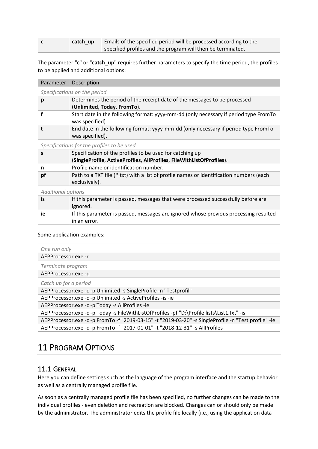| catch up | Emails of the specified period will be processed according to the |
|----------|-------------------------------------------------------------------|
|          | specified profiles and the program will then be terminated.       |

The parameter "**c**" or "**catch\_up**" requires further parameters to specify the time period, the profiles to be applied and additional options:

| Determines the period of the receipt date of the messages to be processed               |  |  |  |  |
|-----------------------------------------------------------------------------------------|--|--|--|--|
| (Unlimited, Today, FromTo).                                                             |  |  |  |  |
| Start date in the following format: yyyy-mm-dd (only necessary if period type FromTo    |  |  |  |  |
|                                                                                         |  |  |  |  |
| End date in the following format: yyyy-mm-dd (only necessary if period type FromTo      |  |  |  |  |
|                                                                                         |  |  |  |  |
| Specifications for the profiles to be used                                              |  |  |  |  |
| Specification of the profiles to be used for catching up                                |  |  |  |  |
| (SingleProfile, ActiveProfiles, AllProfiles, FileWithListOfProfiles).                   |  |  |  |  |
|                                                                                         |  |  |  |  |
| Path to a TXT file (*.txt) with a list of profile names or identification numbers (each |  |  |  |  |
|                                                                                         |  |  |  |  |
| <b>Additional options</b>                                                               |  |  |  |  |
| If this parameter is passed, messages that were processed successfully before are       |  |  |  |  |
|                                                                                         |  |  |  |  |
| If this parameter is passed, messages are ignored whose previous processing resulted    |  |  |  |  |
|                                                                                         |  |  |  |  |
|                                                                                         |  |  |  |  |

#### Some application examples:

| One run only                                                                                         |
|------------------------------------------------------------------------------------------------------|
| AEPProcessor.exe -r                                                                                  |
| Terminate program                                                                                    |
| AEPProcessor.exe -q                                                                                  |
| Catch up for a period                                                                                |
| AEPProcessor.exe -c -p Unlimited -s SingleProfile -n "Testprofil"                                    |
| AEPProcessor.exe -c -p Unlimited -s ActiveProfiles -is -ie                                           |
| AEPProcessor.exe -c -p Today -s AllProfiles -ie                                                      |
| AEPProcessor.exe -c -p Today -s FileWithListOfProfiles -pf "D:\Profile lists\List1.txt" -is          |
| AEPProcessor.exe -c -p FromTo -f "2019-03-15" -t "2019-03-20" -s SingleProfile -n "Test profile" -ie |
| AEPProcessor.exe -c -p FromTo -f "2017-01-01" -t "2018-12-31" -s AllProfiles                         |

# <span id="page-18-0"></span>11 PROGRAM OPTIONS

# <span id="page-18-1"></span>11.1 GENERAL

Here you can define settings such as the language of the program interface and the startup behavior as well as a centrally managed profile file.

As soon as a centrally managed profile file has been specified, no further changes can be made to the individual profiles - even deletion and recreation are blocked. Changes can or should only be made by the administrator. The administrator edits the profile file locally (i.e., using the application data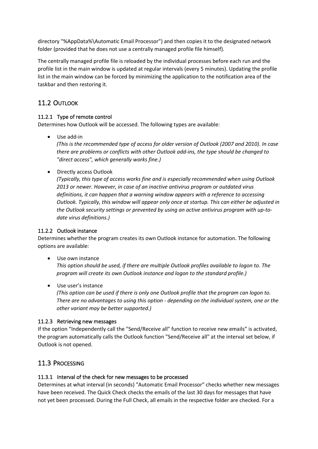directory "%AppData%\Automatic Email Processor") and then copies it to the designated network folder (provided that he does not use a centrally managed profile file himself).

The centrally managed profile file is reloaded by the individual processes before each run and the profile list in the main window is updated at regular intervals (every 5 minutes). Updating the profile list in the main window can be forced by minimizing the application to the notification area of the taskbar and then restoring it.

# <span id="page-19-0"></span>11.2 OUTLOOK

# 11.2.1 Type of remote control

Determines how Outlook will be accessed. The following types are available:

Use add-in

*(This is the recommended type of access for older version of Outlook (2007 and 2010). In case there are problems or conflicts with other Outlook add-ins, the type should be changed to "direct access", which generally works fine.)*

• Directly access Outlook

*(Typically, this type of access works fine and is especially recommended when using Outlook 2013 or newer. However, in case of an inactive antivirus program or outdated virus definitions, it can happen that a warning window appears with a reference to accessing Outlook. Typically, this window will appear only once at startup. This can either be adjusted in the Outlook security settings or prevented by using an active antivirus program with up-todate virus definitions.)*

#### 11.2.2 Outlook instance

Determines whether the program creates its own Outlook instance for automation. The following options are available:

• Use own instance

*This option should be used, if there are multiple Outlook profiles available to logon to. The program will create its own Outlook instance and logon to the standard profile.)*

• Use user's instance

*(This option can be used if there is only one Outlook profile that the program can logon to. There are no advantages to using this option - depending on the individual system, one or the other variant may be better supported.)*

#### 11.2.3 Retrieving new messages

If the option "Independently call the "Send/Receive all" function to receive new emails" is activated, the program automatically calls the Outlook function "Send/Receive all" at the interval set below, if Outlook is not opened.

# <span id="page-19-1"></span>11.3 PROCESSING

#### 11.3.1 Interval of the check for new messages to be processed

Determines at what interval (in seconds) "Automatic Email Processor" checks whether new messages have been received. The Quick Check checks the emails of the last 30 days for messages that have not yet been processed. During the Full Check, all emails in the respective folder are checked. For a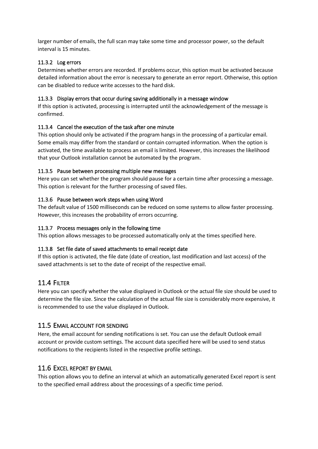larger number of emails, the full scan may take some time and processor power, so the default interval is 15 minutes.

#### 11.3.2 Log errors

Determines whether errors are recorded. If problems occur, this option must be activated because detailed information about the error is necessary to generate an error report. Otherwise, this option can be disabled to reduce write accesses to the hard disk.

#### 11.3.3 Display errors that occur during saving additionally in a message window

If this option is activated, processing is interrupted until the acknowledgement of the message is confirmed.

#### 11.3.4 Cancel the execution of the task after one minute

This option should only be activated if the program hangs in the processing of a particular email. Some emails may differ from the standard or contain corrupted information. When the option is activated, the time available to process an email is limited. However, this increases the likelihood that your Outlook installation cannot be automated by the program.

#### 11.3.5 Pause between processing multiple new messages

Here you can set whether the program should pause for a certain time after processing a message. This option is relevant for the further processing of saved files.

#### 11.3.6 Pause between work steps when using Word

The default value of 1500 milliseconds can be reduced on some systems to allow faster processing. However, this increases the probability of errors occurring.

#### 11.3.7 Process messages only in the following time

This option allows messages to be processed automatically only at the times specified here.

#### 11.3.8 Set file date of saved attachments to email receipt date

If this option is activated, the file date (date of creation, last modification and last access) of the saved attachments is set to the date of receipt of the respective email.

# <span id="page-20-0"></span>11.4 FILTER

Here you can specify whether the value displayed in Outlook or the actual file size should be used to determine the file size. Since the calculation of the actual file size is considerably more expensive, it is recommended to use the value displayed in Outlook.

#### <span id="page-20-1"></span>11.5 EMAIL ACCOUNT FOR SENDING

Here, the email account for sending notifications is set. You can use the default Outlook email account or provide custom settings. The account data specified here will be used to send status notifications to the recipients listed in the respective profile settings.

#### <span id="page-20-2"></span>11.6 EXCEL REPORT BY EMAIL

This option allows you to define an interval at which an automatically generated Excel report is sent to the specified email address about the processings of a specific time period.